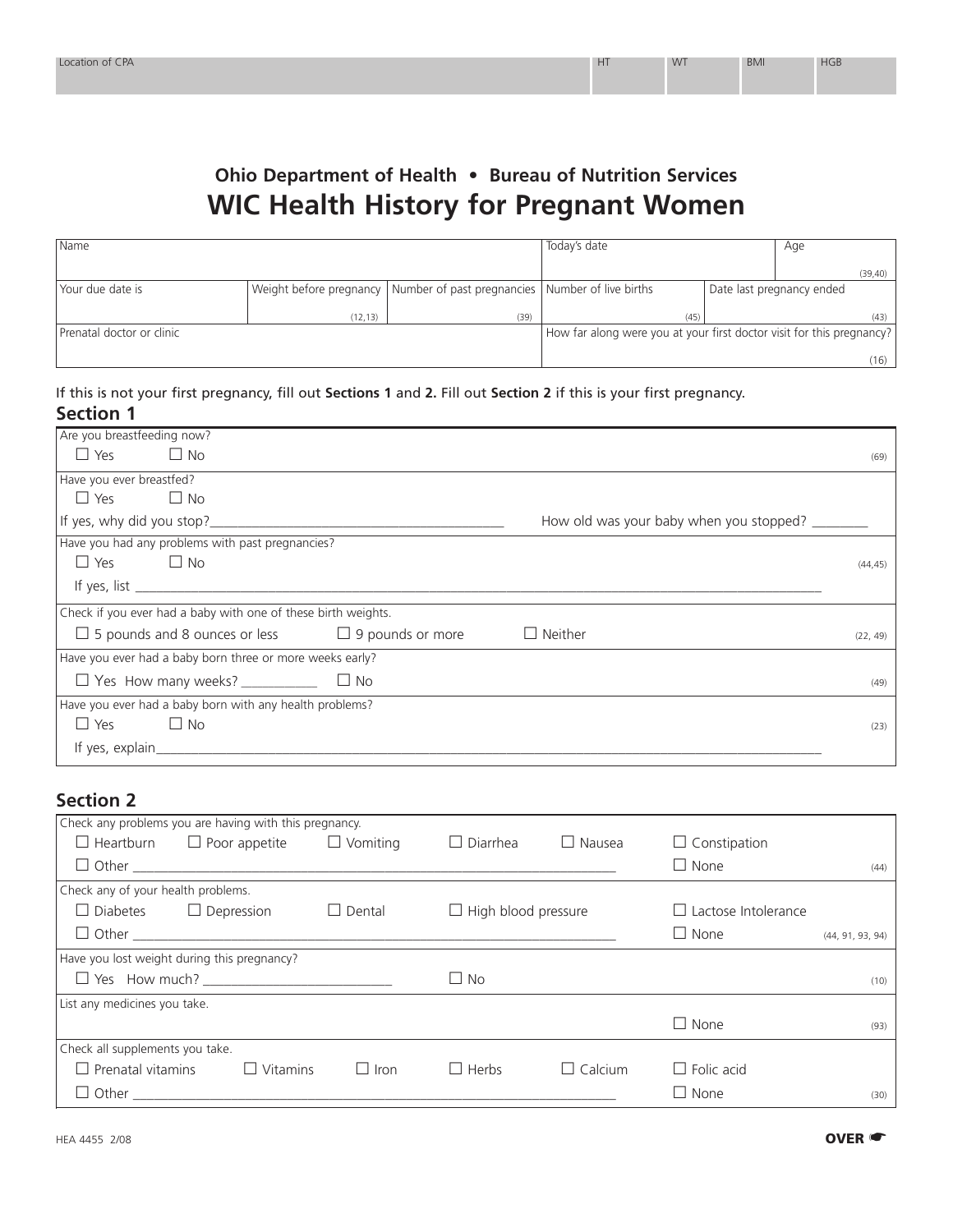## **Ohio Department of Health • Bureau of Nutrition Services WIC Health History for Pregnant Women**

| l Name                    |                                                                       |                                                                              | Today's date |  | Age                       |          |
|---------------------------|-----------------------------------------------------------------------|------------------------------------------------------------------------------|--------------|--|---------------------------|----------|
|                           |                                                                       |                                                                              |              |  |                           | (39, 40) |
| Your due date is          |                                                                       | Weight before pregnancy   Number of past pregnancies   Number of live births |              |  | Date last pregnancy ended |          |
|                           | (12, 13)                                                              | (39)                                                                         | (45)         |  |                           | (43)     |
| Prenatal doctor or clinic | How far along were you at your first doctor visit for this pregnancy? |                                                                              |              |  |                           |          |
|                           |                                                                       |                                                                              |              |  |                           | (16)     |

## If this is not your first pregnancy, fill out **Sections 1** and **2.** Fill out **Section 2** if this is your first pregnancy. **Section 1**

| Are you breastfeeding now?                                                     |          |
|--------------------------------------------------------------------------------|----------|
| $\Box$ Yes<br>$\Box$ No                                                        | (69)     |
| Have you ever breastfed?                                                       |          |
| $\Box$ Yes $\Box$ No                                                           |          |
| How old was your baby when you stopped? _______                                |          |
| Have you had any problems with past pregnancies?                               |          |
| $\Box$ Yes $\Box$ No                                                           | (44, 45) |
|                                                                                |          |
| Check if you ever had a baby with one of these birth weights.                  |          |
| $\Box$ 5 pounds and 8 ounces or less $\Box$ 9 pounds or more<br>$\Box$ Neither | (22, 49) |
| Have you ever had a baby born three or more weeks early?                       |          |
|                                                                                | (49)     |
| Have you ever had a baby born with any health problems?                        |          |
| $\Box$ No<br>$\Box$ Yes                                                        | (23)     |
| If yes, $explain$                                                              |          |

## **Section 2**

|                                 | Check any problems you are having with this pregnancy. |               |                            |                    |                            |                  |  |
|---------------------------------|--------------------------------------------------------|---------------|----------------------------|--------------------|----------------------------|------------------|--|
| $\Box$ Heartburn                | $\Box$ Poor appetite $\Box$ Vomiting                   |               | $\Box$ Diarrhea            | $\Box$ Nausea      | $\Box$ Constipation        |                  |  |
|                                 |                                                        |               |                            |                    | $\Box$ None                | (44)             |  |
|                                 | Check any of your health problems.                     |               |                            |                    |                            |                  |  |
|                                 | $\Box$ Diabetes $\Box$ Depression                      | $\Box$ Dental | $\Box$ High blood pressure |                    | $\Box$ Lactose Intolerance |                  |  |
|                                 |                                                        |               |                            |                    | $\Box$ None                | (44, 91, 93, 94) |  |
|                                 | Have you lost weight during this pregnancy?            |               |                            |                    |                            |                  |  |
|                                 |                                                        |               | $\Box$ No                  |                    |                            | (10)             |  |
| List any medicines you take.    |                                                        |               |                            |                    |                            |                  |  |
|                                 |                                                        |               |                            |                    | $\Box$ None                | (93)             |  |
| Check all supplements you take. |                                                        |               |                            |                    |                            |                  |  |
| $\Box$ Prenatal vitamins        | $\Box$ Vitamins                                        | $\Box$ Iron   | $\Box$ Herbs               | Calcium<br>$\perp$ | $\Box$ Folic acid          |                  |  |
|                                 |                                                        |               |                            |                    | $\Box$ None                | (30)             |  |